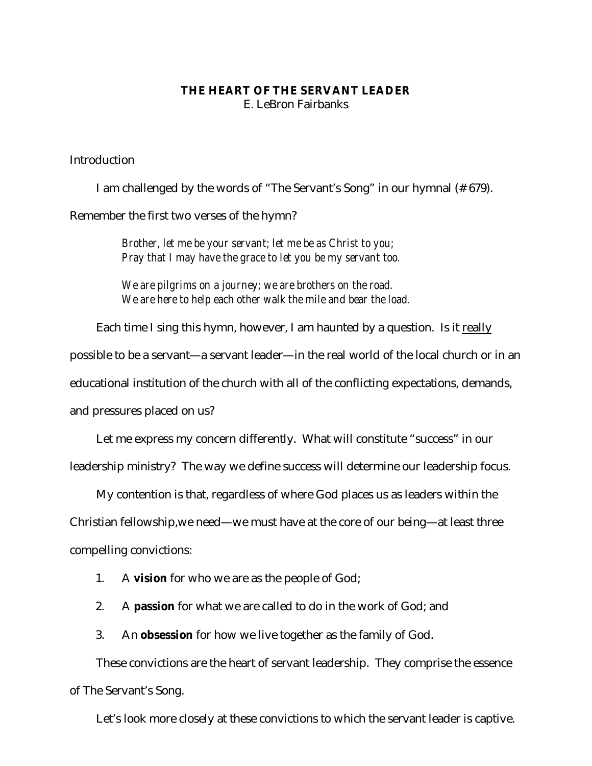## **THE HEART OF THE SERVANT LEADER** E. LeBron Fairbanks

Introduction

I am challenged by the words of "The Servant's Song" in our hymnal (# 679). Remember the first two verses of the hymn?

> *Brother, let me be your servant; let me be as Christ to you; Pray that I may have the grace to let you be my servant too.*

*We are pilgrims on a journey; we are brothers on the road. We are here to help each other walk the mile and bear the load.*

Each time I sing this hymn, however, I am haunted by a question. Is it really possible to be a servant—a servant leader—in the real world of the local church or in an educational institution of the church with all of the conflicting expectations, demands, and pressures placed on us?

Let me express my concern differently. What will constitute "success" in our leadership ministry? The way we define success will determine our leadership focus.

My contention is that, regardless of where God places us as leaders within the

Christian fellowship,we need—we must have at the core of our being—at least three

compelling convictions:

- 1. A **vision** for who we are as the people of God;
- 2. A **passion** for what we are called to do in the work of God; and
- 3. An **obsession** for how we live together as the family of God.

These convictions are the heart of servant leadership. They comprise the essence of The Servant's Song.

Let's look more closely at these convictions to which the servant leader is captive.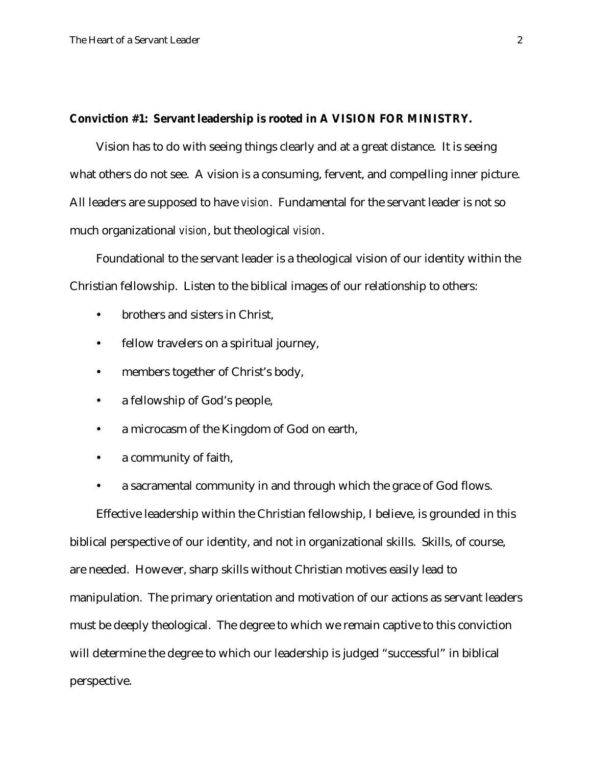#### **Conviction #1: Servant leadership is rooted in A VISION FOR MINISTRY.**

Vision has to do with seeing things clearly and at a great distance. It is seeing what others do not see. A vision is a consuming, fervent, and compelling inner picture. All leaders are supposed to have *vision*. Fundamental for the servant leader is not so much organizational *vision*, but theological *vision*.

Foundational to the servant leader is a theological vision of our identity within the Christian fellowship. Listen to the biblical images of our relationship to others:

- brothers and sisters in Christ,
- fellow travelers on a spiritual journey,
- members together of Christ's body,
- a fellowship of God's people,
- a microcasm of the Kingdom of God on earth,
- a community of faith,
- a sacramental community in and through which the grace of God flows.

Effective leadership within the Christian fellowship, I believe, is grounded in this biblical perspective of our identity, and not in organizational skills. Skills, of course, are needed. However, sharp skills without Christian motives easily lead to manipulation. The primary orientation and motivation of our actions as servant leaders must be deeply theological. The degree to which we remain captive to this conviction will determine the degree to which our leadership is judged "successful" in biblical perspective.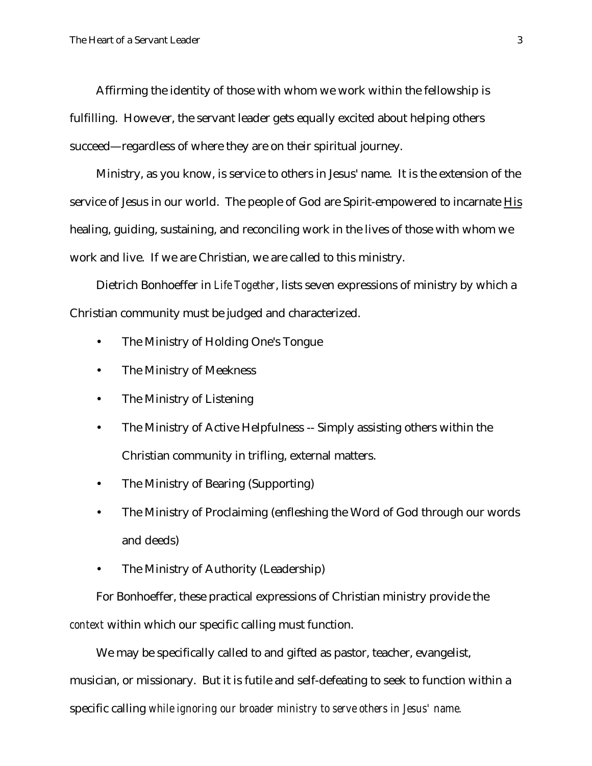Affirming the identity of those with whom we work within the fellowship is fulfilling. However, the servant leader gets equally excited about helping others succeed—regardless of where they are on their spiritual journey.

Ministry, as you know, is service to others in Jesus' name. It is the extension of the service of Jesus in our world. The people of God are Spirit-empowered to incarnate His healing, guiding, sustaining, and reconciling work in the lives of those with whom we work and live. If we are Christian, we are called to this ministry.

Dietrich Bonhoeffer in *Life Together*, lists seven expressions of ministry by which a Christian community must be judged and characterized.

- The Ministry of Holding One's Tongue
- The Ministry of Meekness
- The Ministry of Listening
- The Ministry of Active Helpfulness -- Simply assisting others within the Christian community in trifling, external matters.
- The Ministry of Bearing (Supporting)
- The Ministry of Proclaiming (enfleshing the Word of God through our words and deeds)
- The Ministry of Authority (Leadership)

For Bonhoeffer, these practical expressions of Christian ministry provide the *context* within which our specific calling must function.

We may be specifically called to and gifted as pastor, teacher, evangelist, musician, or missionary. But it is futile and self-defeating to seek to function within a specific calling *while ignoring our broader ministry to serve others in Jesus' name.*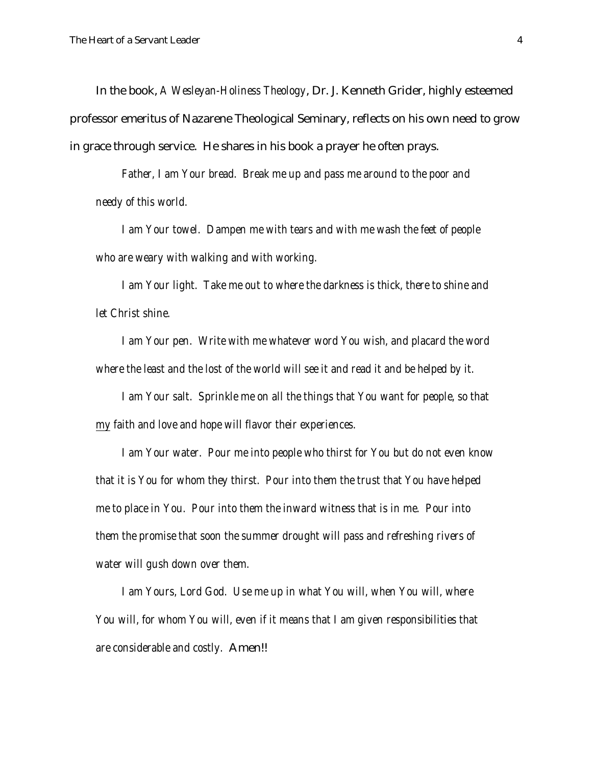In the book, *A Wesleyan-Holiness Theology*, Dr. J. Kenneth Grider, highly esteemed professor emeritus of Nazarene Theological Seminary, reflects on his own need to grow in grace through service. He shares in his book a prayer he often prays.

*Father, I am Your bread. Break me up and pass me around to the poor and needy of this world.*

*I am Your towel. Dampen me with tears and with me wash the feet of people who are weary with walking and with working.*

*I am Your light. Take me out to where the darkness is thick, there to shine and let Christ shine.*

*I am Your pen. Write with me whatever word You wish, and placard the word where the least and the lost of the world will see it and read it and be helped by it.*

*I am Your salt. Sprinkle me on all the things that You want for people, so that my faith and love and hope will flavor their experiences.*

*I am Your water. Pour me into people who thirst for You but do not even know that it is You for whom they thirst. Pour into them the trust that You have helped me to place in You. Pour into them the inward witness that is in me. Pour into them the promise that soon the summer drought will pass and refreshing rivers of water will gush down over them.*

*I am Yours, Lord God. Use me up in what You will, when You will, where You will, for whom You will, even if it means that I am given responsibilities that are considerable and costly.* Amen!!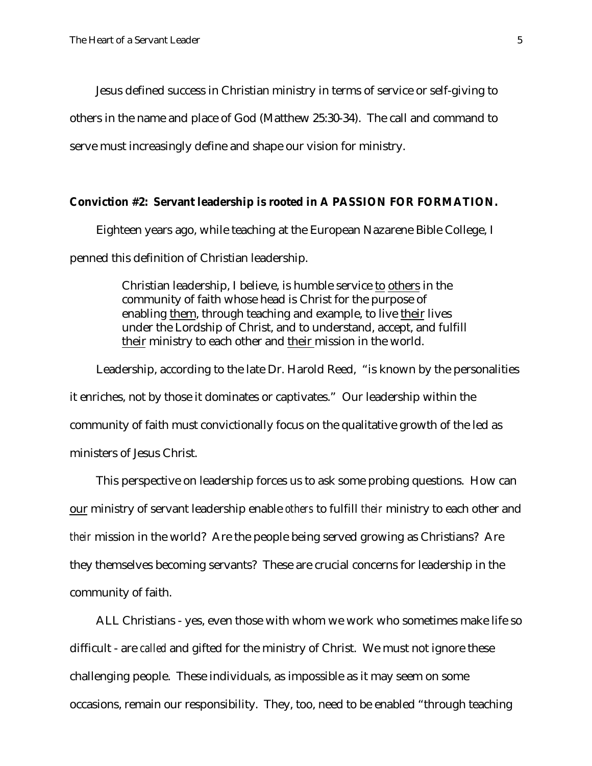Jesus defined success in Christian ministry in terms of service or self-giving to others in the name and place of God (Matthew 25:30-34). The call and command to serve must increasingly define and shape our vision for ministry.

### **Conviction #2: Servant leadership is rooted in A PASSION FOR FORMATION.**

Eighteen years ago, while teaching at the European Nazarene Bible College, I penned this definition of Christian leadership.

> Christian leadership, I believe, is humble service to others in the community of faith whose head is Christ for the purpose of enabling them, through teaching and example, to live their lives under the Lordship of Christ, and to understand, accept, and fulfill their ministry to each other and their mission in the world.

Leadership, according to the late Dr. Harold Reed, "is known by the personalities it enriches, not by those it dominates or captivates." Our leadership within the community of faith must convictionally focus on the qualitative growth of the led as ministers of Jesus Christ.

This perspective on leadership forces us to ask some probing questions. How can our ministry of servant leadership enable *others* to fulfill *their* ministry to each other and *their* mission in the world? Are the people being served growing as Christians? Are they themselves becoming servants? These are crucial concerns for leadership in the community of faith.

ALL Christians - yes, even those with whom we work who sometimes make life so difficult - are *called* and gifted for the ministry of Christ. We must not ignore these challenging people. These individuals, as impossible as it may seem on some occasions, remain our responsibility. They, too, need to be enabled "through teaching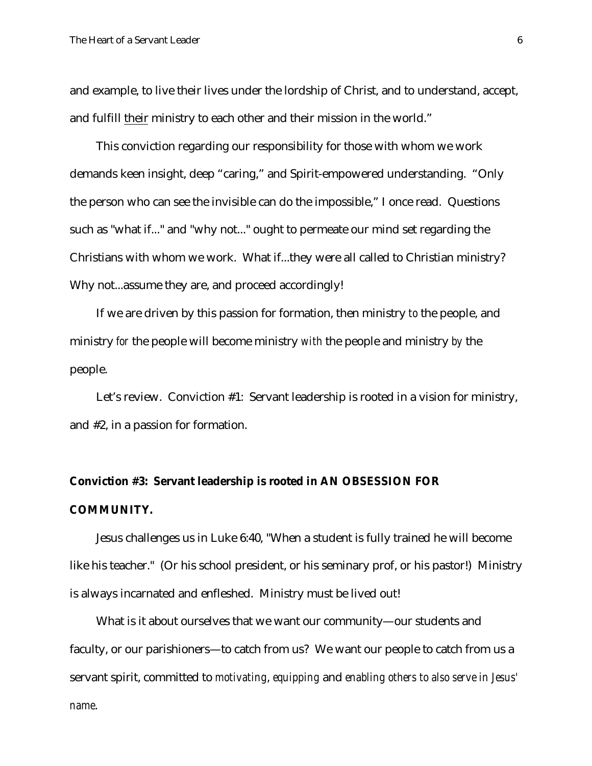and example, to live their lives under the lordship of Christ, and to understand, accept, and fulfill their ministry to each other and their mission in the world."

This conviction regarding our responsibility for those with whom we work demands keen insight, deep "caring," and Spirit-empowered understanding. "Only the person who can see the invisible can do the impossible," I once read. Questions such as "what if..." and "why not..." ought to permeate our mind set regarding the Christians with whom we work. What if...they were all called to Christian ministry? Why not...assume they are, and proceed accordingly!

If we are driven by this passion for formation, then ministry *to* the people, and ministry *for* the people will become ministry *with* the people and ministry *by* the people.

Let's review. Conviction #1: Servant leadership is rooted in a vision for ministry, and #2, in a passion for formation.

# **Conviction #3: Servant leadership is rooted in AN OBSESSION FOR COMMUNITY.**

Jesus challenges us in Luke 6:40, "When a student is fully trained he will become like his teacher." (Or his school president, or his seminary prof, or his pastor!) Ministry is always incarnated and enfleshed. Ministry must be lived out!

What is it about ourselves that we want our community—our students and faculty, or our parishioners—to catch from us? We want our people to catch from us a servant spirit, committed to *motivating*, *equipping* and *enabling others to also serve in Jesus' name*.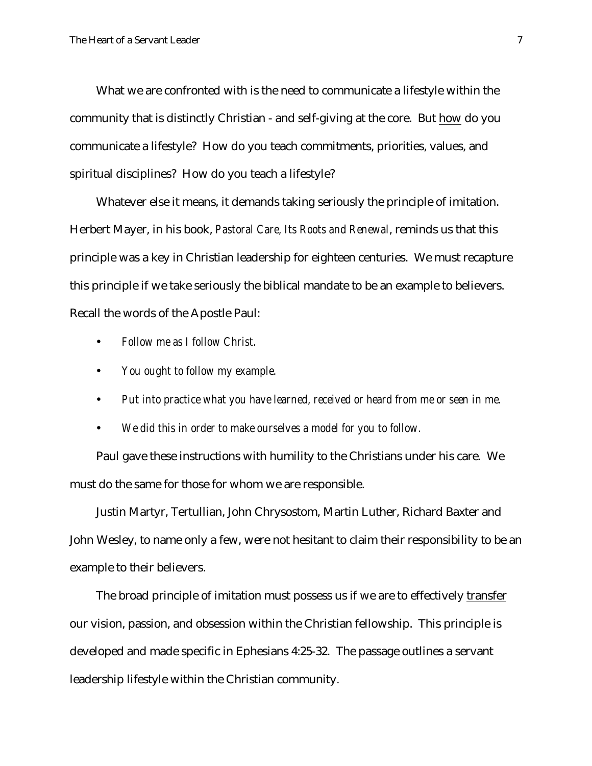What we are confronted with is the need to communicate a lifestyle within the community that is distinctly Christian - and self-giving at the core. But how do you communicate a lifestyle? How do you teach commitments, priorities, values, and spiritual disciplines? How do you teach a lifestyle?

Whatever else it means, it demands taking seriously the principle of imitation. Herbert Mayer, in his book, *Pastoral Care, Its Roots and Renewal*, reminds us that this principle was a key in Christian leadership for eighteen centuries. We must recapture this principle if we take seriously the biblical mandate to be an example to believers. Recall the words of the Apostle Paul:

- *Follow me as I follow Christ.*
- *You ought to follow my example.*
- *Put into practice what you have learned, received or heard from me or seen in me.*
- *We did this in order to make ourselves a model for you to follow.*

Paul gave these instructions with humility to the Christians under his care. We must do the same for those for whom we are responsible.

Justin Martyr, Tertullian, John Chrysostom, Martin Luther, Richard Baxter and John Wesley, to name only a few, were not hesitant to claim their responsibility to be an example to their believers.

The broad principle of imitation must possess us if we are to effectively transfer our vision, passion, and obsession within the Christian fellowship. This principle is developed and made specific in Ephesians 4:25-32. The passage outlines a servant leadership lifestyle within the Christian community.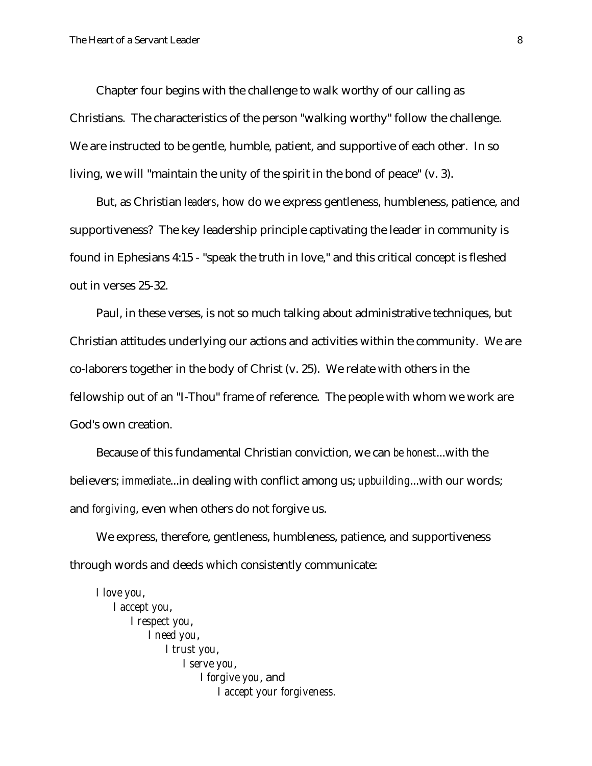Chapter four begins with the challenge to walk worthy of our calling as Christians. The characteristics of the person "walking worthy" follow the challenge. We are instructed to be gentle, humble, patient, and supportive of each other. In so living, we will "maintain the unity of the spirit in the bond of peace" (v. 3).

But, as Christian *leaders*, how do we express gentleness, humbleness, patience, and supportiveness? The key leadership principle captivating the leader in community is found in Ephesians 4:15 - "speak the truth in love," and this critical concept is fleshed out in verses 25-32.

Paul, in these verses, is not so much talking about administrative techniques, but Christian attitudes underlying our actions and activities within the community. We are co-laborers together in the body of Christ (v. 25). We relate with others in the fellowship out of an "I-Thou" frame of reference. The people with whom we work are God's own creation.

Because of this fundamental Christian conviction, we can *be honest*...with the believers; *immediate*...in dealing with conflict among us; *upbuilding*...with our words; and *forgiving*, even when others do not forgive us.

We express, therefore, gentleness, humbleness, patience, and supportiveness through words and deeds which consistently communicate:

*I love you*, *I accept you*, *I respect you*, *I need you*, *I trust you*, *I serve you*, *I forgive you*, and *I accept your forgiveness.*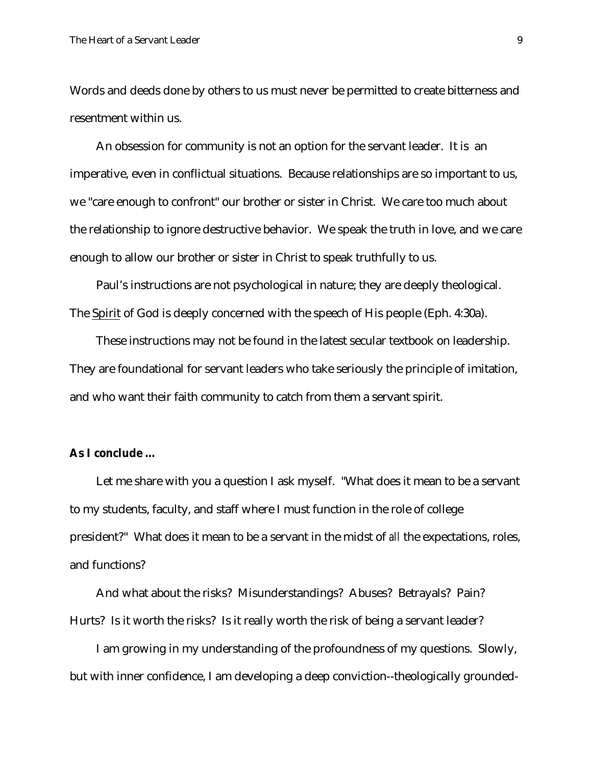Words and deeds done by others to us must never be permitted to create bitterness and resentment within us.

An obsession for community is not an option for the servant leader. It is an imperative, even in conflictual situations. Because relationships are so important to us, we "care enough to confront" our brother or sister in Christ. We care too much about the relationship to ignore destructive behavior. We speak the truth in love, and we care enough to allow our brother or sister in Christ to speak truthfully to us.

Paul's instructions are not psychological in nature; they are deeply theological. The Spirit of God is deeply concerned with the speech of His people (Eph. 4:30a).

These instructions may not be found in the latest secular textbook on leadership. They are foundational for servant leaders who take seriously the principle of imitation, and who want their faith community to catch from them a servant spirit.

## **As I conclude …**

Let me share with you a question I ask myself. "What does it mean to be a servant to my students, faculty, and staff where I must function in the role of college president?" What does it mean to be a servant in the midst of *all* the expectations, roles, and functions?

And what about the risks? Misunderstandings? Abuses? Betrayals? Pain? Hurts? Is it worth the risks? Is it really worth the risk of being a servant leader?

I am growing in my understanding of the profoundness of my questions. Slowly, but with inner confidence, I am developing a deep conviction--theologically grounded-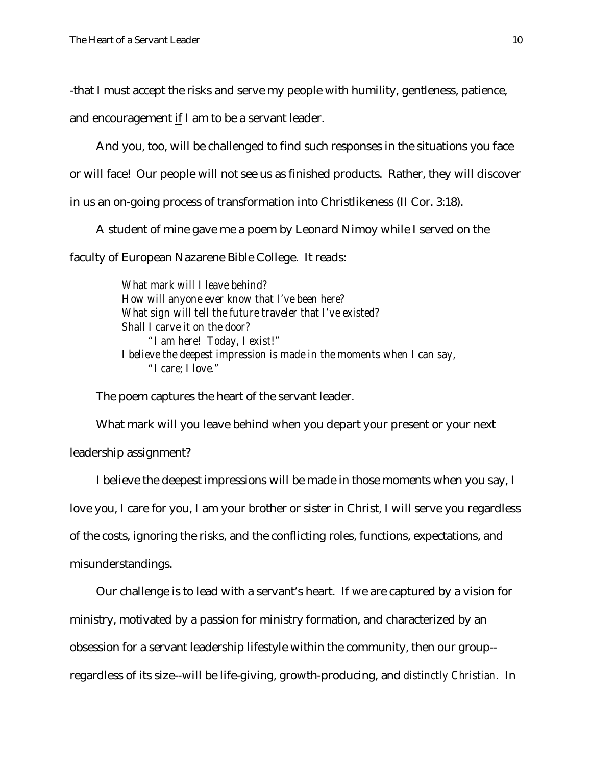-that I must accept the risks and serve my people with humility, gentleness, patience,

and encouragement if I am to be a servant leader.

And you, too, will be challenged to find such responses in the situations you face or will face! Our people will not see us as finished products. Rather, they will discover in us an on-going process of transformation into Christlikeness (II Cor. 3:18).

A student of mine gave me a poem by Leonard Nimoy while I served on the faculty of European Nazarene Bible College. It reads:

> *What mark will I leave behind? How will anyone ever know that I've been here? What sign will tell the future traveler that I've existed? Shall I carve it on the door? "I am here! Today, I exist!" I believe the deepest impression is made in the moments when I can say, "I care; I love."*

The poem captures the heart of the servant leader.

What mark will you leave behind when you depart your present or your next leadership assignment?

I believe the deepest impressions will be made in those moments when you say, I love you, I care for you, I am your brother or sister in Christ, I will serve you regardless of the costs, ignoring the risks, and the conflicting roles, functions, expectations, and misunderstandings.

Our challenge is to lead with a servant's heart. If we are captured by a vision for ministry, motivated by a passion for ministry formation, and characterized by an obsession for a servant leadership lifestyle within the community, then our group- regardless of its size--will be life-giving, growth-producing, and *distinctly Christian*. In